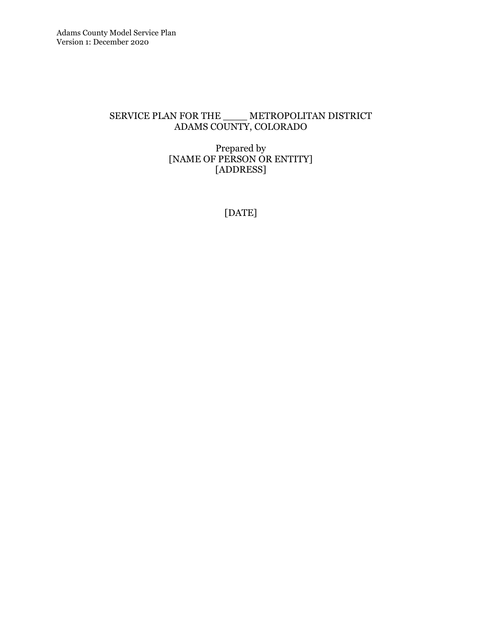## SERVICE PLAN FOR THE \_\_\_\_ METROPOLITAN DISTRICT ADAMS COUNTY, COLORADO

#### Prepared by [NAME OF PERSON OR ENTITY] [ADDRESS]

[DATE]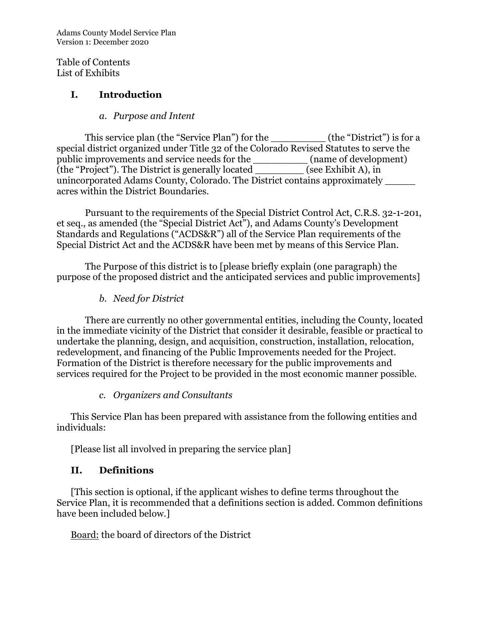Adams County Model Service Plan Version 1: December 2020

Table of Contents List of Exhibits

#### I. Introduction

#### a. Purpose and Intent

This service plan (the "Service Plan") for the \_\_\_\_\_\_\_\_\_\_\_\_ (the "District") is for a special district organized under Title 32 of the Colorado Revised Statutes to serve the public improvements and service needs for the \_\_\_\_\_\_\_\_\_ (name of development) (the "Project"). The District is generally located \_\_\_\_\_\_\_\_ (see Exhibit A), in unincorporated Adams County, Colorado. The District contains approximately \_\_\_\_\_ acres within the District Boundaries.

Pursuant to the requirements of the Special District Control Act, C.R.S. 32-1-201, et seq., as amended (the "Special District Act"), and Adams County's Development Standards and Regulations ("ACDS&R") all of the Service Plan requirements of the Special District Act and the ACDS&R have been met by means of this Service Plan.

The Purpose of this district is to [please briefly explain (one paragraph) the purpose of the proposed district and the anticipated services and public improvements]

b. Need for District

There are currently no other governmental entities, including the County, located in the immediate vicinity of the District that consider it desirable, feasible or practical to undertake the planning, design, and acquisition, construction, installation, relocation, redevelopment, and financing of the Public Improvements needed for the Project. Formation of the District is therefore necessary for the public improvements and services required for the Project to be provided in the most economic manner possible.

#### c. Organizers and Consultants

This Service Plan has been prepared with assistance from the following entities and individuals:

[Please list all involved in preparing the service plan]

## II. Definitions

[This section is optional, if the applicant wishes to define terms throughout the Service Plan, it is recommended that a definitions section is added. Common definitions have been included below.]

Board: the board of directors of the District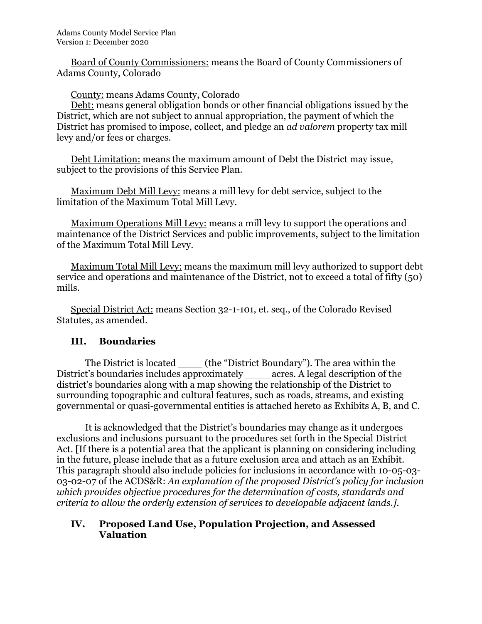Board of County Commissioners: means the Board of County Commissioners of Adams County, Colorado

County: means Adams County, Colorado

Debt: means general obligation bonds or other financial obligations issued by the District, which are not subject to annual appropriation, the payment of which the District has promised to impose, collect, and pledge an ad valorem property tax mill levy and/or fees or charges.

Debt Limitation: means the maximum amount of Debt the District may issue, subject to the provisions of this Service Plan.

Maximum Debt Mill Levy: means a mill levy for debt service, subject to the limitation of the Maximum Total Mill Levy.

Maximum Operations Mill Levy: means a mill levy to support the operations and maintenance of the District Services and public improvements, subject to the limitation of the Maximum Total Mill Levy.

Maximum Total Mill Levy: means the maximum mill levy authorized to support debt service and operations and maintenance of the District, not to exceed a total of fifty (50) mills.

Special District Act: means Section 32-1-101, et. seq., of the Colorado Revised Statutes, as amended.

## III. Boundaries

The District is located (the "District Boundary"). The area within the District's boundaries includes approximately \_\_\_\_ acres. A legal description of the district's boundaries along with a map showing the relationship of the District to surrounding topographic and cultural features, such as roads, streams, and existing governmental or quasi-governmental entities is attached hereto as Exhibits A, B, and C.

It is acknowledged that the District's boundaries may change as it undergoes exclusions and inclusions pursuant to the procedures set forth in the Special District Act. [If there is a potential area that the applicant is planning on considering including in the future, please include that as a future exclusion area and attach as an Exhibit. This paragraph should also include policies for inclusions in accordance with 10-05-03- 03-02-07 of the ACDS&R: An explanation of the proposed District's policy for inclusion which provides objective procedures for the determination of costs, standards and criteria to allow the orderly extension of services to developable adjacent lands.].

#### IV. Proposed Land Use, Population Projection, and Assessed Valuation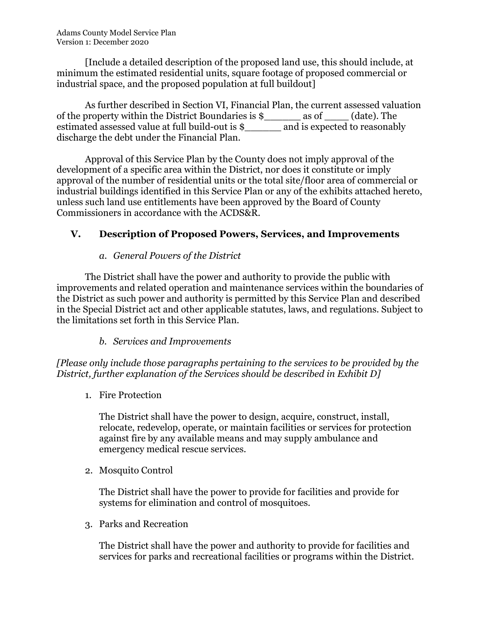[Include a detailed description of the proposed land use, this should include, at minimum the estimated residential units, square footage of proposed commercial or industrial space, and the proposed population at full buildout]

As further described in Section VI, Financial Plan, the current assessed valuation of the property within the District Boundaries is \$\_\_\_\_\_\_ as of \_\_\_\_ (date). The estimated assessed value at full build-out is  $\frac{1}{2}$  and is expected to reasonably discharge the debt under the Financial Plan.

Approval of this Service Plan by the County does not imply approval of the development of a specific area within the District, nor does it constitute or imply approval of the number of residential units or the total site/floor area of commercial or industrial buildings identified in this Service Plan or any of the exhibits attached hereto, unless such land use entitlements have been approved by the Board of County Commissioners in accordance with the ACDS&R.

# V. Description of Proposed Powers, Services, and Improvements

#### a. General Powers of the District

The District shall have the power and authority to provide the public with improvements and related operation and maintenance services within the boundaries of the District as such power and authority is permitted by this Service Plan and described in the Special District act and other applicable statutes, laws, and regulations. Subject to the limitations set forth in this Service Plan.

## b. Services and Improvements

[Please only include those paragraphs pertaining to the services to be provided by the District, further explanation of the Services should be described in Exhibit D]

1. Fire Protection

The District shall have the power to design, acquire, construct, install, relocate, redevelop, operate, or maintain facilities or services for protection against fire by any available means and may supply ambulance and emergency medical rescue services.

2. Mosquito Control

The District shall have the power to provide for facilities and provide for systems for elimination and control of mosquitoes.

3. Parks and Recreation

The District shall have the power and authority to provide for facilities and services for parks and recreational facilities or programs within the District.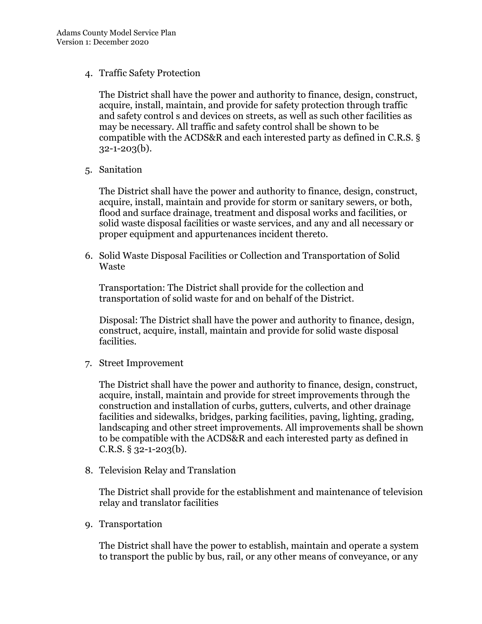4. Traffic Safety Protection

The District shall have the power and authority to finance, design, construct, acquire, install, maintain, and provide for safety protection through traffic and safety control s and devices on streets, as well as such other facilities as may be necessary. All traffic and safety control shall be shown to be compatible with the ACDS&R and each interested party as defined in C.R.S. §  $32 - 1 - 203(b)$ .

5. Sanitation

The District shall have the power and authority to finance, design, construct, acquire, install, maintain and provide for storm or sanitary sewers, or both, flood and surface drainage, treatment and disposal works and facilities, or solid waste disposal facilities or waste services, and any and all necessary or proper equipment and appurtenances incident thereto.

6. Solid Waste Disposal Facilities or Collection and Transportation of Solid Waste

Transportation: The District shall provide for the collection and transportation of solid waste for and on behalf of the District.

Disposal: The District shall have the power and authority to finance, design, construct, acquire, install, maintain and provide for solid waste disposal facilities.

7. Street Improvement

The District shall have the power and authority to finance, design, construct, acquire, install, maintain and provide for street improvements through the construction and installation of curbs, gutters, culverts, and other drainage facilities and sidewalks, bridges, parking facilities, paving, lighting, grading, landscaping and other street improvements. All improvements shall be shown to be compatible with the ACDS&R and each interested party as defined in  $C.R.S. \S 32-1-203(b).$ 

8. Television Relay and Translation

The District shall provide for the establishment and maintenance of television relay and translator facilities

9. Transportation

The District shall have the power to establish, maintain and operate a system to transport the public by bus, rail, or any other means of conveyance, or any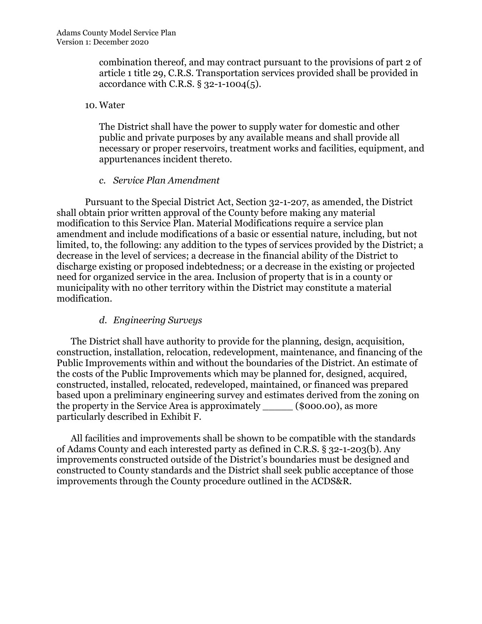combination thereof, and may contract pursuant to the provisions of part 2 of article 1 title 29, C.R.S. Transportation services provided shall be provided in accordance with C.R.S. § 32-1-1004(5).

#### 10. Water

The District shall have the power to supply water for domestic and other public and private purposes by any available means and shall provide all necessary or proper reservoirs, treatment works and facilities, equipment, and appurtenances incident thereto.

#### c. Service Plan Amendment

Pursuant to the Special District Act, Section 32-1-207, as amended, the District shall obtain prior written approval of the County before making any material modification to this Service Plan. Material Modifications require a service plan amendment and include modifications of a basic or essential nature, including, but not limited, to, the following: any addition to the types of services provided by the District; a decrease in the level of services; a decrease in the financial ability of the District to discharge existing or proposed indebtedness; or a decrease in the existing or projected need for organized service in the area. Inclusion of property that is in a county or municipality with no other territory within the District may constitute a material modification.

#### d. Engineering Surveys

The District shall have authority to provide for the planning, design, acquisition, construction, installation, relocation, redevelopment, maintenance, and financing of the Public Improvements within and without the boundaries of the District. An estimate of the costs of the Public Improvements which may be planned for, designed, acquired, constructed, installed, relocated, redeveloped, maintained, or financed was prepared based upon a preliminary engineering survey and estimates derived from the zoning on the property in the Service Area is approximately \_\_\_\_\_ (\$000.00), as more particularly described in Exhibit F.

All facilities and improvements shall be shown to be compatible with the standards of Adams County and each interested party as defined in C.R.S. § 32-1-203(b). Any improvements constructed outside of the District's boundaries must be designed and constructed to County standards and the District shall seek public acceptance of those improvements through the County procedure outlined in the ACDS&R.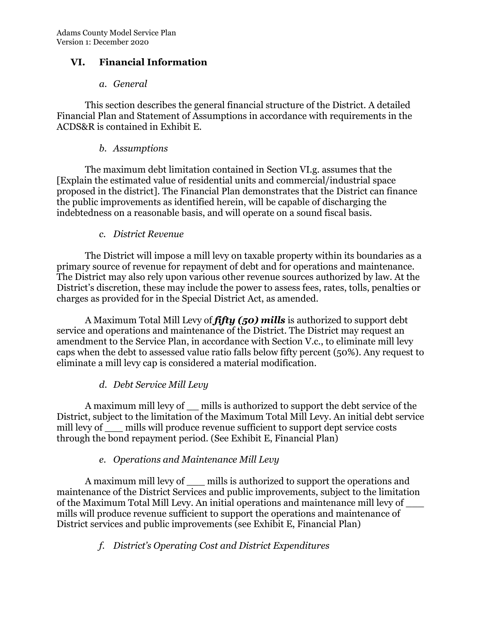## VI. Financial Information

#### a. General

This section describes the general financial structure of the District. A detailed Financial Plan and Statement of Assumptions in accordance with requirements in the ACDS&R is contained in Exhibit E.

#### b. Assumptions

The maximum debt limitation contained in Section VI.g. assumes that the [Explain the estimated value of residential units and commercial/industrial space proposed in the district]. The Financial Plan demonstrates that the District can finance the public improvements as identified herein, will be capable of discharging the indebtedness on a reasonable basis, and will operate on a sound fiscal basis.

#### c. District Revenue

The District will impose a mill levy on taxable property within its boundaries as a primary source of revenue for repayment of debt and for operations and maintenance. The District may also rely upon various other revenue sources authorized by law. At the District's discretion, these may include the power to assess fees, rates, tolls, penalties or charges as provided for in the Special District Act, as amended.

A Maximum Total Mill Levy of  $f_i f_i y$  (50) mills is authorized to support debt service and operations and maintenance of the District. The District may request an amendment to the Service Plan, in accordance with Section V.c., to eliminate mill levy caps when the debt to assessed value ratio falls below fifty percent (50%). Any request to eliminate a mill levy cap is considered a material modification.

## d. Debt Service Mill Levy

A maximum mill levy of \_\_ mills is authorized to support the debt service of the District, subject to the limitation of the Maximum Total Mill Levy. An initial debt service mill levy of <u>mills</u> will produce revenue sufficient to support dept service costs through the bond repayment period. (See Exhibit E, Financial Plan)

## e. Operations and Maintenance Mill Levy

A maximum mill levy of mills is authorized to support the operations and maintenance of the District Services and public improvements, subject to the limitation of the Maximum Total Mill Levy. An initial operations and maintenance mill levy of \_\_\_ mills will produce revenue sufficient to support the operations and maintenance of District services and public improvements (see Exhibit E, Financial Plan)

## f. District's Operating Cost and District Expenditures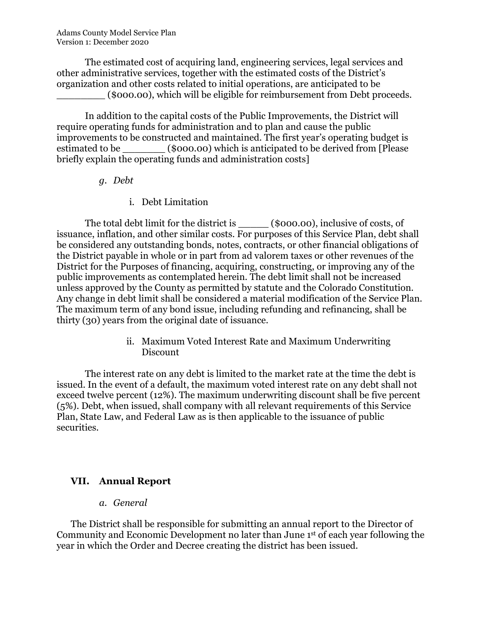The estimated cost of acquiring land, engineering services, legal services and other administrative services, together with the estimated costs of the District's organization and other costs related to initial operations, are anticipated to be \_\_\_\_\_\_\_\_ (\$000.00), which will be eligible for reimbursement from Debt proceeds.

In addition to the capital costs of the Public Improvements, the District will require operating funds for administration and to plan and cause the public improvements to be constructed and maintained. The first year's operating budget is estimated to be  $(0.0000)$  which is anticipated to be derived from [Please briefly explain the operating funds and administration costs]

- g. Debt
	- i. Debt Limitation

The total debt limit for the district is (\$000.00), inclusive of costs, of issuance, inflation, and other similar costs. For purposes of this Service Plan, debt shall be considered any outstanding bonds, notes, contracts, or other financial obligations of the District payable in whole or in part from ad valorem taxes or other revenues of the District for the Purposes of financing, acquiring, constructing, or improving any of the public improvements as contemplated herein. The debt limit shall not be increased unless approved by the County as permitted by statute and the Colorado Constitution. Any change in debt limit shall be considered a material modification of the Service Plan. The maximum term of any bond issue, including refunding and refinancing, shall be thirty (30) years from the original date of issuance.

> ii. Maximum Voted Interest Rate and Maximum Underwriting Discount

The interest rate on any debt is limited to the market rate at the time the debt is issued. In the event of a default, the maximum voted interest rate on any debt shall not exceed twelve percent (12%). The maximum underwriting discount shall be five percent (5%). Debt, when issued, shall company with all relevant requirements of this Service Plan, State Law, and Federal Law as is then applicable to the issuance of public securities.

## VII. Annual Report

a. General

The District shall be responsible for submitting an annual report to the Director of Community and Economic Development no later than June 1st of each year following the year in which the Order and Decree creating the district has been issued.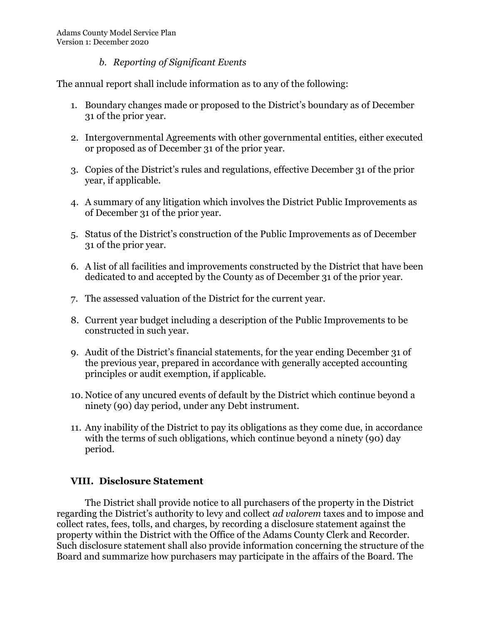#### b. Reporting of Significant Events

The annual report shall include information as to any of the following:

- 1. Boundary changes made or proposed to the District's boundary as of December 31 of the prior year.
- 2. Intergovernmental Agreements with other governmental entities, either executed or proposed as of December 31 of the prior year.
- 3. Copies of the District's rules and regulations, effective December 31 of the prior year, if applicable.
- 4. A summary of any litigation which involves the District Public Improvements as of December 31 of the prior year.
- 5. Status of the District's construction of the Public Improvements as of December 31 of the prior year.
- 6. A list of all facilities and improvements constructed by the District that have been dedicated to and accepted by the County as of December 31 of the prior year.
- 7. The assessed valuation of the District for the current year.
- 8. Current year budget including a description of the Public Improvements to be constructed in such year.
- 9. Audit of the District's financial statements, for the year ending December 31 of the previous year, prepared in accordance with generally accepted accounting principles or audit exemption, if applicable.
- 10. Notice of any uncured events of default by the District which continue beyond a ninety (90) day period, under any Debt instrument.
- 11. Any inability of the District to pay its obligations as they come due, in accordance with the terms of such obligations, which continue beyond a ninety (90) day period.

## VIII. Disclosure Statement

The District shall provide notice to all purchasers of the property in the District regarding the District's authority to levy and collect ad valorem taxes and to impose and collect rates, fees, tolls, and charges, by recording a disclosure statement against the property within the District with the Office of the Adams County Clerk and Recorder. Such disclosure statement shall also provide information concerning the structure of the Board and summarize how purchasers may participate in the affairs of the Board. The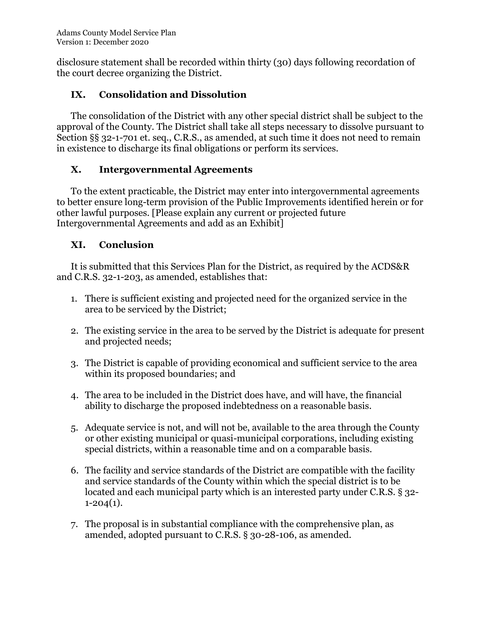disclosure statement shall be recorded within thirty (30) days following recordation of the court decree organizing the District.

# IX. Consolidation and Dissolution

The consolidation of the District with any other special district shall be subject to the approval of the County. The District shall take all steps necessary to dissolve pursuant to Section §§ 32-1-701 et. seq., C.R.S., as amended, at such time it does not need to remain in existence to discharge its final obligations or perform its services.

# X. Intergovernmental Agreements

To the extent practicable, the District may enter into intergovernmental agreements to better ensure long-term provision of the Public Improvements identified herein or for other lawful purposes. [Please explain any current or projected future Intergovernmental Agreements and add as an Exhibit]

# XI. Conclusion

It is submitted that this Services Plan for the District, as required by the ACDS&R and C.R.S. 32-1-203, as amended, establishes that:

- 1. There is sufficient existing and projected need for the organized service in the area to be serviced by the District;
- 2. The existing service in the area to be served by the District is adequate for present and projected needs;
- 3. The District is capable of providing economical and sufficient service to the area within its proposed boundaries; and
- 4. The area to be included in the District does have, and will have, the financial ability to discharge the proposed indebtedness on a reasonable basis.
- 5. Adequate service is not, and will not be, available to the area through the County or other existing municipal or quasi-municipal corporations, including existing special districts, within a reasonable time and on a comparable basis.
- 6. The facility and service standards of the District are compatible with the facility and service standards of the County within which the special district is to be located and each municipal party which is an interested party under C.R.S. § 32-  $1 - 204(1)$ .
- 7. The proposal is in substantial compliance with the comprehensive plan, as amended, adopted pursuant to C.R.S. § 30-28-106, as amended.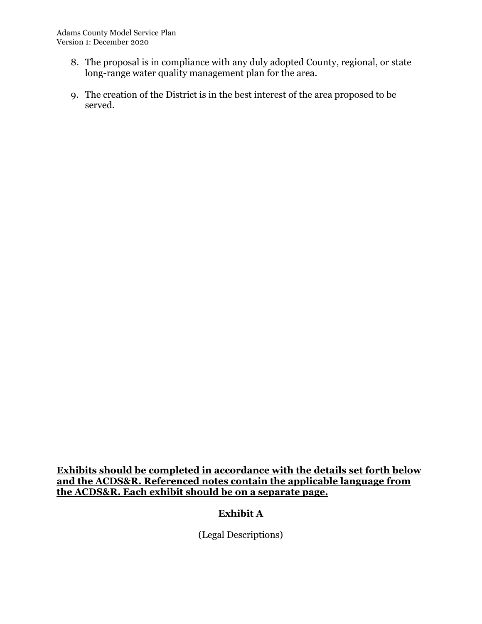- 8. The proposal is in compliance with any duly adopted County, regional, or state long-range water quality management plan for the area.
- 9. The creation of the District is in the best interest of the area proposed to be served.

Exhibits should be completed in accordance with the details set forth below and the ACDS&R. Referenced notes contain the applicable language from the ACDS&R. Each exhibit should be on a separate page.

# Exhibit A

(Legal Descriptions)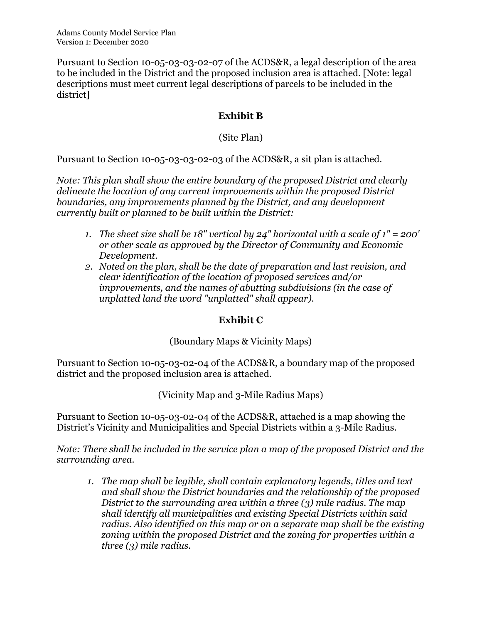Pursuant to Section 10-05-03-03-02-07 of the ACDS&R, a legal description of the area to be included in the District and the proposed inclusion area is attached. [Note: legal descriptions must meet current legal descriptions of parcels to be included in the district]

# Exhibit B

(Site Plan)

Pursuant to Section 10-05-03-03-02-03 of the ACDS&R, a sit plan is attached.

Note: This plan shall show the entire boundary of the proposed District and clearly delineate the location of any current improvements within the proposed District boundaries, any improvements planned by the District, and any development currently built or planned to be built within the District:

- 1. The sheet size shall be 18" vertical by  $24$ " horizontal with a scale of  $1" = 200'$ or other scale as approved by the Director of Community and Economic Development.
- 2. Noted on the plan, shall be the date of preparation and last revision, and clear identification of the location of proposed services and/or improvements, and the names of abutting subdivisions (in the case of unplatted land the word "unplatted" shall appear).

## Exhibit C

## (Boundary Maps & Vicinity Maps)

Pursuant to Section 10-05-03-02-04 of the ACDS&R, a boundary map of the proposed district and the proposed inclusion area is attached.

(Vicinity Map and 3-Mile Radius Maps)

Pursuant to Section 10-05-03-02-04 of the ACDS&R, attached is a map showing the District's Vicinity and Municipalities and Special Districts within a 3-Mile Radius.

Note: There shall be included in the service plan a map of the proposed District and the surrounding area.

1. The map shall be legible, shall contain explanatory legends, titles and text and shall show the District boundaries and the relationship of the proposed District to the surrounding area within a three (3) mile radius. The map shall identify all municipalities and existing Special Districts within said radius. Also identified on this map or on a separate map shall be the existing zoning within the proposed District and the zoning for properties within a three (3) mile radius.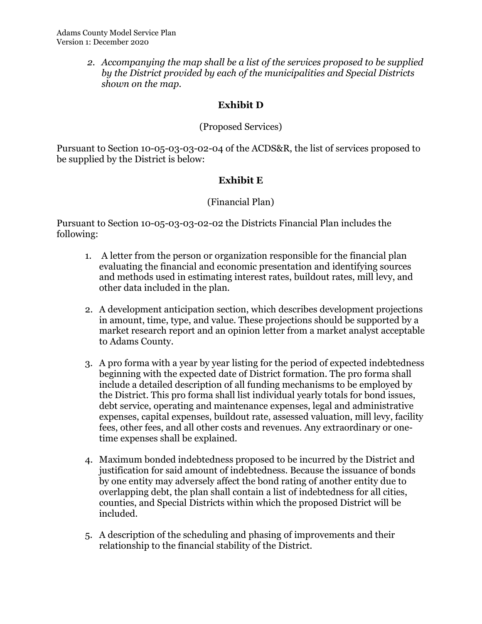2. Accompanying the map shall be a list of the services proposed to be supplied by the District provided by each of the municipalities and Special Districts shown on the map.

# Exhibit D

## (Proposed Services)

Pursuant to Section 10-05-03-03-02-04 of the ACDS&R, the list of services proposed to be supplied by the District is below:

## Exhibit E

#### (Financial Plan)

Pursuant to Section 10-05-03-03-02-02 the Districts Financial Plan includes the following:

- 1. A letter from the person or organization responsible for the financial plan evaluating the financial and economic presentation and identifying sources and methods used in estimating interest rates, buildout rates, mill levy, and other data included in the plan.
- 2. A development anticipation section, which describes development projections in amount, time, type, and value. These projections should be supported by a market research report and an opinion letter from a market analyst acceptable to Adams County.
- 3. A pro forma with a year by year listing for the period of expected indebtedness beginning with the expected date of District formation. The pro forma shall include a detailed description of all funding mechanisms to be employed by the District. This pro forma shall list individual yearly totals for bond issues, debt service, operating and maintenance expenses, legal and administrative expenses, capital expenses, buildout rate, assessed valuation, mill levy, facility fees, other fees, and all other costs and revenues. Any extraordinary or onetime expenses shall be explained.
- 4. Maximum bonded indebtedness proposed to be incurred by the District and justification for said amount of indebtedness. Because the issuance of bonds by one entity may adversely affect the bond rating of another entity due to overlapping debt, the plan shall contain a list of indebtedness for all cities, counties, and Special Districts within which the proposed District will be included.
- 5. A description of the scheduling and phasing of improvements and their relationship to the financial stability of the District.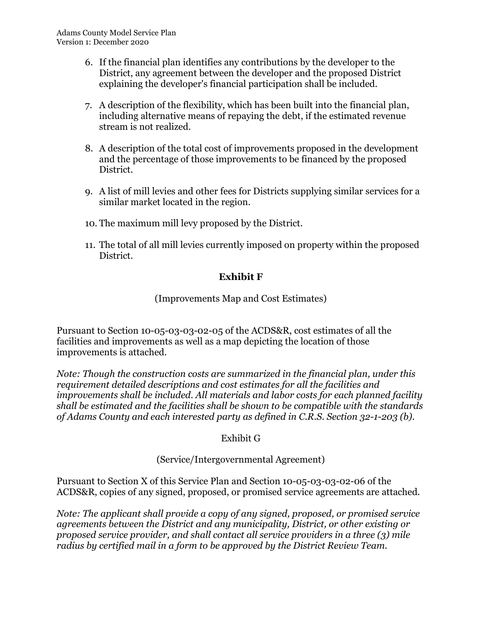- 6. If the financial plan identifies any contributions by the developer to the District, any agreement between the developer and the proposed District explaining the developer's financial participation shall be included.
- 7. A description of the flexibility, which has been built into the financial plan, including alternative means of repaying the debt, if the estimated revenue stream is not realized.
- 8. A description of the total cost of improvements proposed in the development and the percentage of those improvements to be financed by the proposed District.
- 9. A list of mill levies and other fees for Districts supplying similar services for a similar market located in the region.
- 10. The maximum mill levy proposed by the District.
- 11. The total of all mill levies currently imposed on property within the proposed District.

## Exhibit F

(Improvements Map and Cost Estimates)

Pursuant to Section 10-05-03-03-02-05 of the ACDS&R, cost estimates of all the facilities and improvements as well as a map depicting the location of those improvements is attached.

Note: Though the construction costs are summarized in the financial plan, under this requirement detailed descriptions and cost estimates for all the facilities and improvements shall be included. All materials and labor costs for each planned facility shall be estimated and the facilities shall be shown to be compatible with the standards of Adams County and each interested party as defined in C.R.S. Section 32-1-203 (b).

## Exhibit G

#### (Service/Intergovernmental Agreement)

Pursuant to Section X of this Service Plan and Section 10-05-03-03-02-06 of the ACDS&R, copies of any signed, proposed, or promised service agreements are attached.

Note: The applicant shall provide a copy of any signed, proposed, or promised service agreements between the District and any municipality, District, or other existing or proposed service provider, and shall contact all service providers in a three (3) mile radius by certified mail in a form to be approved by the District Review Team.